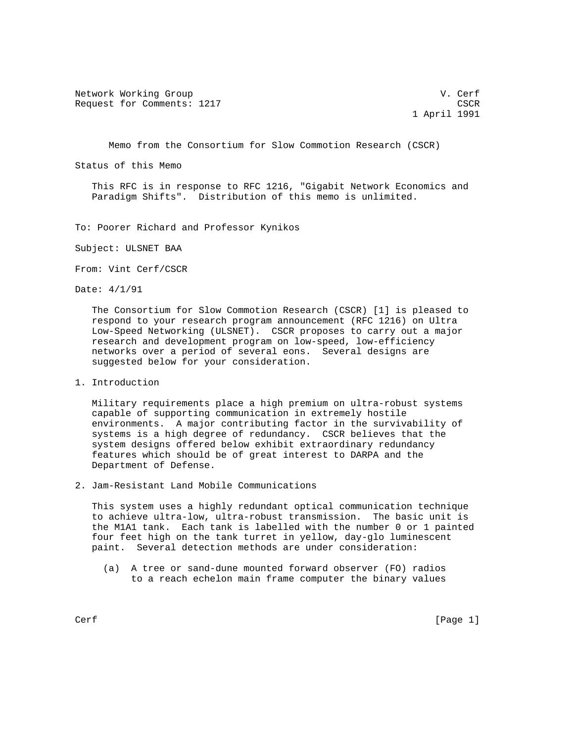Network Working Group van de verfanging van de verfanging van de verfanging van de verfanging van de verfanging van de verfanging van de verfanging van de verfanging van de verfanging van de verfanging van de verfanging va Request for Comments: 1217 CSCR

1 April 1991

Memo from the Consortium for Slow Commotion Research (CSCR)

Status of this Memo

 This RFC is in response to RFC 1216, "Gigabit Network Economics and Paradigm Shifts". Distribution of this memo is unlimited.

To: Poorer Richard and Professor Kynikos

Subject: ULSNET BAA

From: Vint Cerf/CSCR

Date: 4/1/91

 The Consortium for Slow Commotion Research (CSCR) [1] is pleased to respond to your research program announcement (RFC 1216) on Ultra Low-Speed Networking (ULSNET). CSCR proposes to carry out a major research and development program on low-speed, low-efficiency networks over a period of several eons. Several designs are suggested below for your consideration.

1. Introduction

 Military requirements place a high premium on ultra-robust systems capable of supporting communication in extremely hostile environments. A major contributing factor in the survivability of systems is a high degree of redundancy. CSCR believes that the system designs offered below exhibit extraordinary redundancy features which should be of great interest to DARPA and the Department of Defense.

2. Jam-Resistant Land Mobile Communications

 This system uses a highly redundant optical communication technique to achieve ultra-low, ultra-robust transmission. The basic unit is the M1A1 tank. Each tank is labelled with the number 0 or 1 painted four feet high on the tank turret in yellow, day-glo luminescent paint. Several detection methods are under consideration:

 (a) A tree or sand-dune mounted forward observer (FO) radios to a reach echelon main frame computer the binary values

Cerf [Page 1]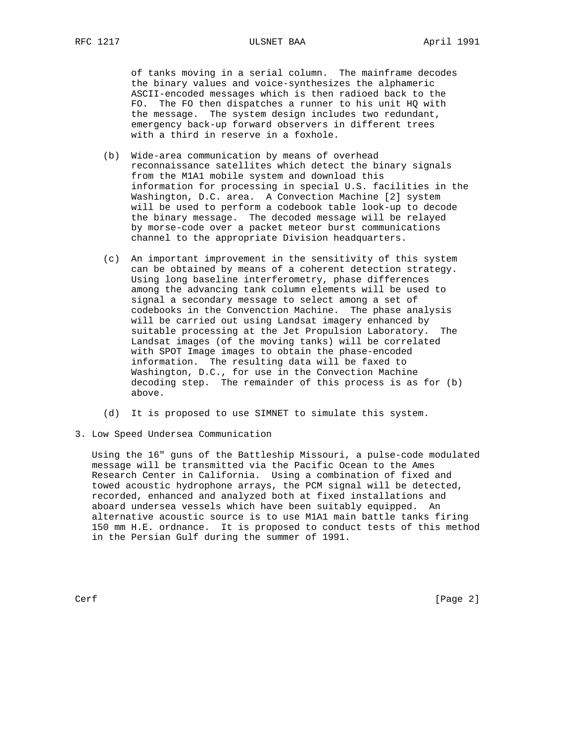of tanks moving in a serial column. The mainframe decodes the binary values and voice-synthesizes the alphameric ASCII-encoded messages which is then radioed back to the FO. The FO then dispatches a runner to his unit HQ with the message. The system design includes two redundant, emergency back-up forward observers in different trees with a third in reserve in a foxhole.

- (b) Wide-area communication by means of overhead reconnaissance satellites which detect the binary signals from the M1A1 mobile system and download this information for processing in special U.S. facilities in the Washington, D.C. area. A Convection Machine [2] system will be used to perform a codebook table look-up to decode the binary message. The decoded message will be relayed by morse-code over a packet meteor burst communications channel to the appropriate Division headquarters.
- (c) An important improvement in the sensitivity of this system can be obtained by means of a coherent detection strategy. Using long baseline interferometry, phase differences among the advancing tank column elements will be used to signal a secondary message to select among a set of codebooks in the Convenction Machine. The phase analysis will be carried out using Landsat imagery enhanced by suitable processing at the Jet Propulsion Laboratory. The Landsat images (of the moving tanks) will be correlated with SPOT Image images to obtain the phase-encoded information. The resulting data will be faxed to Washington, D.C., for use in the Convection Machine decoding step. The remainder of this process is as for (b) above.
- (d) It is proposed to use SIMNET to simulate this system.
- 3. Low Speed Undersea Communication

 Using the 16" guns of the Battleship Missouri, a pulse-code modulated message will be transmitted via the Pacific Ocean to the Ames Research Center in California. Using a combination of fixed and towed acoustic hydrophone arrays, the PCM signal will be detected, recorded, enhanced and analyzed both at fixed installations and aboard undersea vessels which have been suitably equipped. An alternative acoustic source is to use M1A1 main battle tanks firing 150 mm H.E. ordnance. It is proposed to conduct tests of this method in the Persian Gulf during the summer of 1991.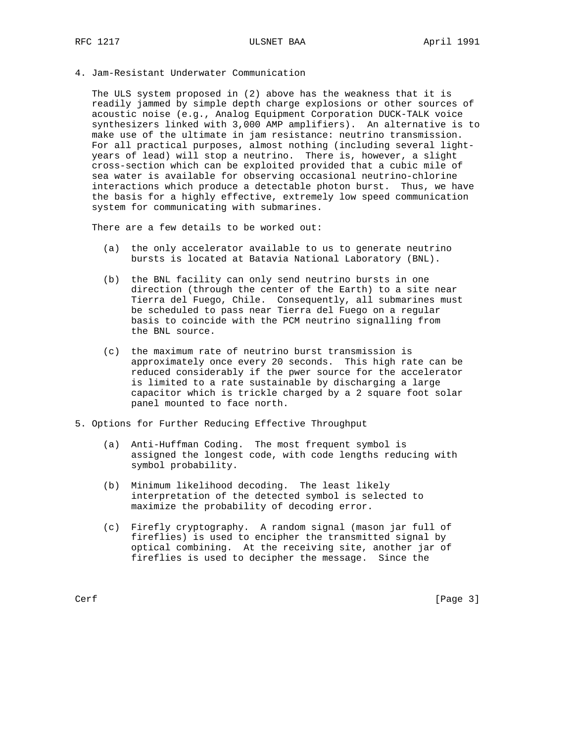4. Jam-Resistant Underwater Communication

 The ULS system proposed in (2) above has the weakness that it is readily jammed by simple depth charge explosions or other sources of acoustic noise (e.g., Analog Equipment Corporation DUCK-TALK voice synthesizers linked with 3,000 AMP amplifiers). An alternative is to make use of the ultimate in jam resistance: neutrino transmission. For all practical purposes, almost nothing (including several light years of lead) will stop a neutrino. There is, however, a slight cross-section which can be exploited provided that a cubic mile of sea water is available for observing occasional neutrino-chlorine interactions which produce a detectable photon burst. Thus, we have the basis for a highly effective, extremely low speed communication system for communicating with submarines.

There are a few details to be worked out:

- (a) the only accelerator available to us to generate neutrino bursts is located at Batavia National Laboratory (BNL).
- (b) the BNL facility can only send neutrino bursts in one direction (through the center of the Earth) to a site near Tierra del Fuego, Chile. Consequently, all submarines must be scheduled to pass near Tierra del Fuego on a regular basis to coincide with the PCM neutrino signalling from the BNL source.
- (c) the maximum rate of neutrino burst transmission is approximately once every 20 seconds. This high rate can be reduced considerably if the pwer source for the accelerator is limited to a rate sustainable by discharging a large capacitor which is trickle charged by a 2 square foot solar panel mounted to face north.
- 5. Options for Further Reducing Effective Throughput
	- (a) Anti-Huffman Coding. The most frequent symbol is assigned the longest code, with code lengths reducing with symbol probability.
	- (b) Minimum likelihood decoding. The least likely interpretation of the detected symbol is selected to maximize the probability of decoding error.
	- (c) Firefly cryptography. A random signal (mason jar full of fireflies) is used to encipher the transmitted signal by optical combining. At the receiving site, another jar of fireflies is used to decipher the message. Since the

Cerf [Page 3]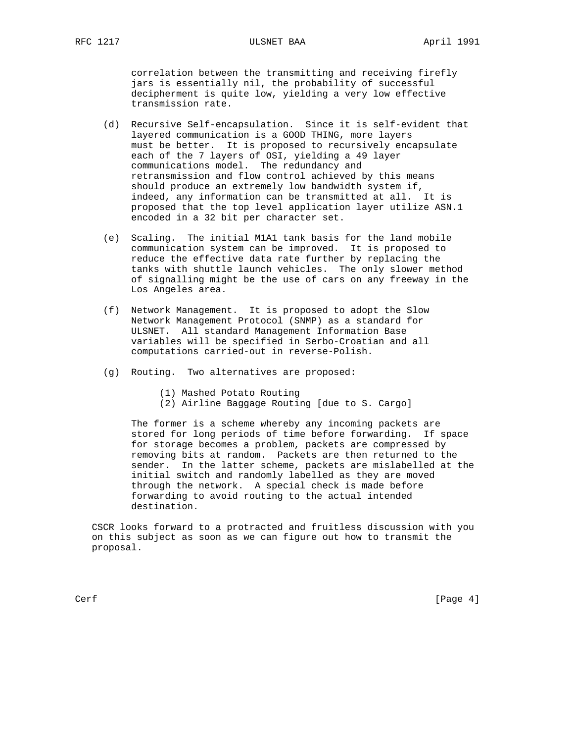correlation between the transmitting and receiving firefly jars is essentially nil, the probability of successful decipherment is quite low, yielding a very low effective transmission rate.

- (d) Recursive Self-encapsulation. Since it is self-evident that layered communication is a GOOD THING, more layers must be better. It is proposed to recursively encapsulate each of the 7 layers of OSI, yielding a 49 layer communications model. The redundancy and retransmission and flow control achieved by this means should produce an extremely low bandwidth system if, indeed, any information can be transmitted at all. It is proposed that the top level application layer utilize ASN.1 encoded in a 32 bit per character set.
- (e) Scaling. The initial M1A1 tank basis for the land mobile communication system can be improved. It is proposed to reduce the effective data rate further by replacing the tanks with shuttle launch vehicles. The only slower method of signalling might be the use of cars on any freeway in the Los Angeles area.
- (f) Network Management. It is proposed to adopt the Slow Network Management Protocol (SNMP) as a standard for ULSNET. All standard Management Information Base variables will be specified in Serbo-Croatian and all computations carried-out in reverse-Polish.
- (g) Routing. Two alternatives are proposed:
	- (1) Mashed Potato Routing
	- (2) Airline Baggage Routing [due to S. Cargo]

 The former is a scheme whereby any incoming packets are stored for long periods of time before forwarding. If space for storage becomes a problem, packets are compressed by removing bits at random. Packets are then returned to the sender. In the latter scheme, packets are mislabelled at the initial switch and randomly labelled as they are moved through the network. A special check is made before forwarding to avoid routing to the actual intended destination.

 CSCR looks forward to a protracted and fruitless discussion with you on this subject as soon as we can figure out how to transmit the proposal.

Cerf [Page 4]